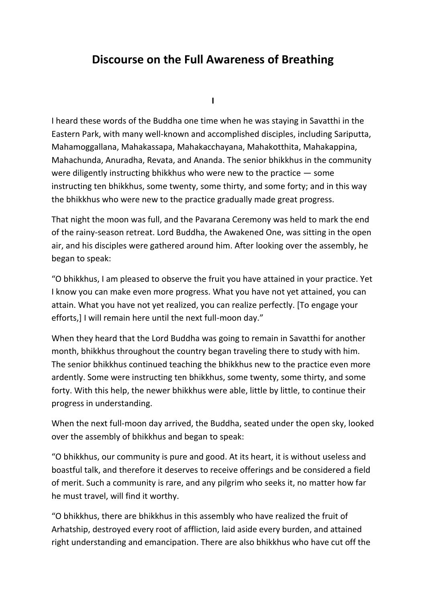## **Discourse on the Full Awareness of Breathing**

**I**

I heard these words of the Buddha one time when he was staying in Savatthi in the Eastern Park, with many well-known and accomplished disciples, including Sariputta, Mahamoggallana, Mahakassapa, Mahakacchayana, Mahakotthita, Mahakappina, Mahachunda, Anuradha, Revata, and Ananda. The senior bhikkhus in the community were diligently instructing bhikkhus who were new to the practice — some instructing ten bhikkhus, some twenty, some thirty, and some forty; and in this way the bhikkhus who were new to the practice gradually made great progress.

That night the moon was full, and the Pavarana Ceremony was held to mark the end of the rainy-season retreat. Lord Buddha, the Awakened One, was sitting in the open air, and his disciples were gathered around him. After looking over the assembly, he began to speak:

"O bhikkhus, I am pleased to observe the fruit you have attained in your practice. Yet I know you can make even more progress. What you have not yet attained, you can attain. What you have not yet realized, you can realize perfectly. [To engage your efforts,] I will remain here until the next full-moon day."

When they heard that the Lord Buddha was going to remain in Savatthi for another month, bhikkhus throughout the country began traveling there to study with him. The senior bhikkhus continued teaching the bhikkhus new to the practice even more ardently. Some were instructing ten bhikkhus, some twenty, some thirty, and some forty. With this help, the newer bhikkhus were able, little by little, to continue their progress in understanding.

When the next full-moon day arrived, the Buddha, seated under the open sky, looked over the assembly of bhikkhus and began to speak:

"O bhikkhus, our community is pure and good. At its heart, it is without useless and boastful talk, and therefore it deserves to receive offerings and be considered a field of merit. Such a community is rare, and any pilgrim who seeks it, no matter how far he must travel, will find it worthy.

"O bhikkhus, there are bhikkhus in this assembly who have realized the fruit of Arhatship, destroyed every root of affliction, laid aside every burden, and attained right understanding and emancipation. There are also bhikkhus who have cut off the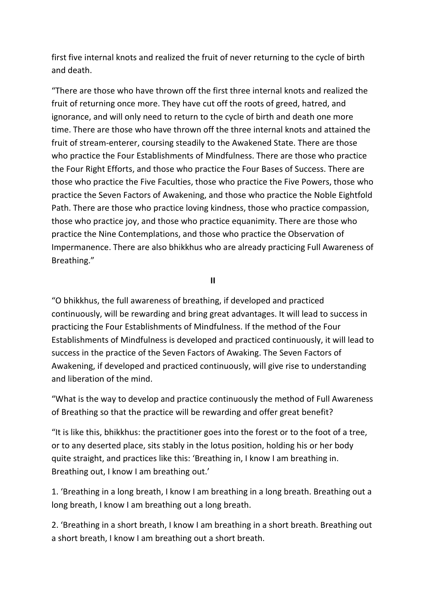first five internal knots and realized the fruit of never returning to the cycle of birth and death.

"There are those who have thrown off the first three internal knots and realized the fruit of returning once more. They have cut off the roots of greed, hatred, and ignorance, and will only need to return to the cycle of birth and death one more time. There are those who have thrown off the three internal knots and attained the fruit of stream-enterer, coursing steadily to the Awakened State. There are those who practice the Four Establishments of Mindfulness. There are those who practice the Four Right Efforts, and those who practice the Four Bases of Success. There are those who practice the Five Faculties, those who practice the Five Powers, those who practice the Seven Factors of Awakening, and those who practice the Noble Eightfold Path. There are those who practice loving kindness, those who practice compassion, those who practice joy, and those who practice equanimity. There are those who practice the Nine Contemplations, and those who practice the Observation of Impermanence. There are also bhikkhus who are already practicing Full Awareness of Breathing."

**II**

"O bhikkhus, the full awareness of breathing, if developed and practiced continuously, will be rewarding and bring great advantages. It will lead to success in practicing the Four Establishments of Mindfulness. If the method of the Four Establishments of Mindfulness is developed and practiced continuously, it will lead to success in the practice of the Seven Factors of Awaking. The Seven Factors of Awakening, if developed and practiced continuously, will give rise to understanding and liberation of the mind.

"What is the way to develop and practice continuously the method of Full Awareness of Breathing so that the practice will be rewarding and offer great benefit?

"It is like this, bhikkhus: the practitioner goes into the forest or to the foot of a tree, or to any deserted place, sits stably in the lotus position, holding his or her body quite straight, and practices like this: 'Breathing in, I know I am breathing in. Breathing out, I know I am breathing out.'

1. 'Breathing in a long breath, I know I am breathing in a long breath. Breathing out a long breath, I know I am breathing out a long breath.

2. 'Breathing in a short breath, I know I am breathing in a short breath. Breathing out a short breath, I know I am breathing out a short breath.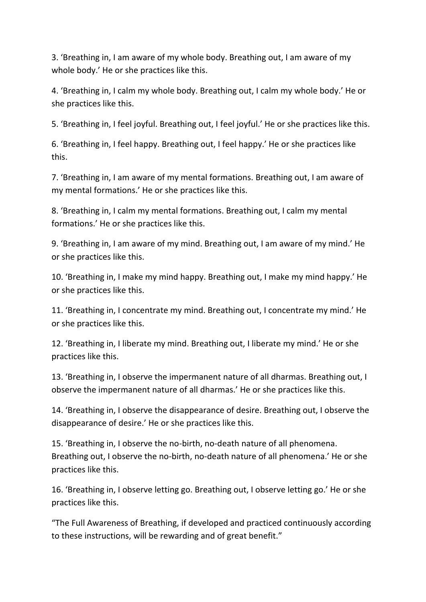3. 'Breathing in, I am aware of my whole body. Breathing out, I am aware of my whole body.' He or she practices like this.

4. 'Breathing in, I calm my whole body. Breathing out, I calm my whole body.' He or she practices like this.

5. 'Breathing in, I feel joyful. Breathing out, I feel joyful.' He or she practices like this.

6. 'Breathing in, I feel happy. Breathing out, I feel happy.' He or she practices like this.

7. 'Breathing in, I am aware of my mental formations. Breathing out, I am aware of my mental formations.' He or she practices like this.

8. 'Breathing in, I calm my mental formations. Breathing out, I calm my mental formations.' He or she practices like this.

9. 'Breathing in, I am aware of my mind. Breathing out, I am aware of my mind.' He or she practices like this.

10. 'Breathing in, I make my mind happy. Breathing out, I make my mind happy.' He or she practices like this.

11. 'Breathing in, I concentrate my mind. Breathing out, I concentrate my mind.' He or she practices like this.

12. 'Breathing in, I liberate my mind. Breathing out, I liberate my mind.' He or she practices like this.

13. 'Breathing in, I observe the impermanent nature of all dharmas. Breathing out, I observe the impermanent nature of all dharmas.' He or she practices like this.

14. 'Breathing in, I observe the disappearance of desire. Breathing out, I observe the disappearance of desire.' He or she practices like this.

15. 'Breathing in, I observe the no-birth, no-death nature of all phenomena. Breathing out, I observe the no-birth, no-death nature of all phenomena.' He or she practices like this.

16. 'Breathing in, I observe letting go. Breathing out, I observe letting go.' He or she practices like this.

"The Full Awareness of Breathing, if developed and practiced continuously according to these instructions, will be rewarding and of great benefit."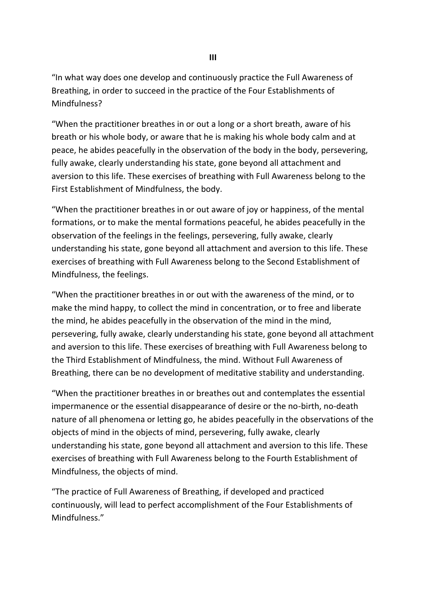"In what way does one develop and continuously practice the Full Awareness of Breathing, in order to succeed in the practice of the Four Establishments of Mindfulness?

"When the practitioner breathes in or out a long or a short breath, aware of his breath or his whole body, or aware that he is making his whole body calm and at peace, he abides peacefully in the observation of the body in the body, persevering, fully awake, clearly understanding his state, gone beyond all attachment and aversion to this life. These exercises of breathing with Full Awareness belong to the First Establishment of Mindfulness, the body.

"When the practitioner breathes in or out aware of joy or happiness, of the mental formations, or to make the mental formations peaceful, he abides peacefully in the observation of the feelings in the feelings, persevering, fully awake, clearly understanding his state, gone beyond all attachment and aversion to this life. These exercises of breathing with Full Awareness belong to the Second Establishment of Mindfulness, the feelings.

"When the practitioner breathes in or out with the awareness of the mind, or to make the mind happy, to collect the mind in concentration, or to free and liberate the mind, he abides peacefully in the observation of the mind in the mind, persevering, fully awake, clearly understanding his state, gone beyond all attachment and aversion to this life. These exercises of breathing with Full Awareness belong to the Third Establishment of Mindfulness, the mind. Without Full Awareness of Breathing, there can be no development of meditative stability and understanding.

"When the practitioner breathes in or breathes out and contemplates the essential impermanence or the essential disappearance of desire or the no-birth, no-death nature of all phenomena or letting go, he abides peacefully in the observations of the objects of mind in the objects of mind, persevering, fully awake, clearly understanding his state, gone beyond all attachment and aversion to this life. These exercises of breathing with Full Awareness belong to the Fourth Establishment of Mindfulness, the objects of mind.

"The practice of Full Awareness of Breathing, if developed and practiced continuously, will lead to perfect accomplishment of the Four Establishments of Mindfulness."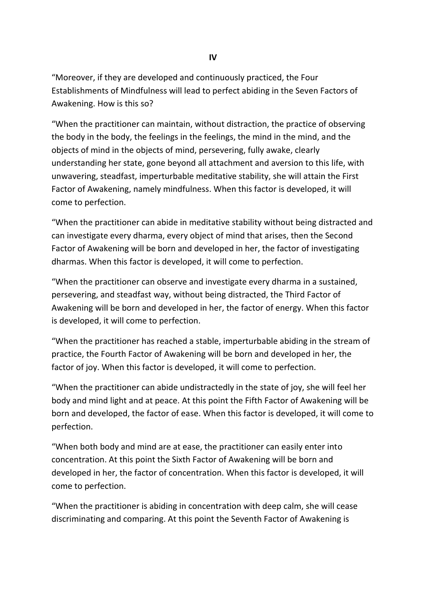"Moreover, if they are developed and continuously practiced, the Four Establishments of Mindfulness will lead to perfect abiding in the Seven Factors of Awakening. How is this so?

"When the practitioner can maintain, without distraction, the practice of observing the body in the body, the feelings in the feelings, the mind in the mind, and the objects of mind in the objects of mind, persevering, fully awake, clearly understanding her state, gone beyond all attachment and aversion to this life, with unwavering, steadfast, imperturbable meditative stability, she will attain the First Factor of Awakening, namely mindfulness. When this factor is developed, it will come to perfection.

"When the practitioner can abide in meditative stability without being distracted and can investigate every dharma, every object of mind that arises, then the Second Factor of Awakening will be born and developed in her, the factor of investigating dharmas. When this factor is developed, it will come to perfection.

"When the practitioner can observe and investigate every dharma in a sustained, persevering, and steadfast way, without being distracted, the Third Factor of Awakening will be born and developed in her, the factor of energy. When this factor is developed, it will come to perfection.

"When the practitioner has reached a stable, imperturbable abiding in the stream of practice, the Fourth Factor of Awakening will be born and developed in her, the factor of joy. When this factor is developed, it will come to perfection.

"When the practitioner can abide undistractedly in the state of joy, she will feel her body and mind light and at peace. At this point the Fifth Factor of Awakening will be born and developed, the factor of ease. When this factor is developed, it will come to perfection.

"When both body and mind are at ease, the practitioner can easily enter into concentration. At this point the Sixth Factor of Awakening will be born and developed in her, the factor of concentration. When this factor is developed, it will come to perfection.

"When the practitioner is abiding in concentration with deep calm, she will cease discriminating and comparing. At this point the Seventh Factor of Awakening is